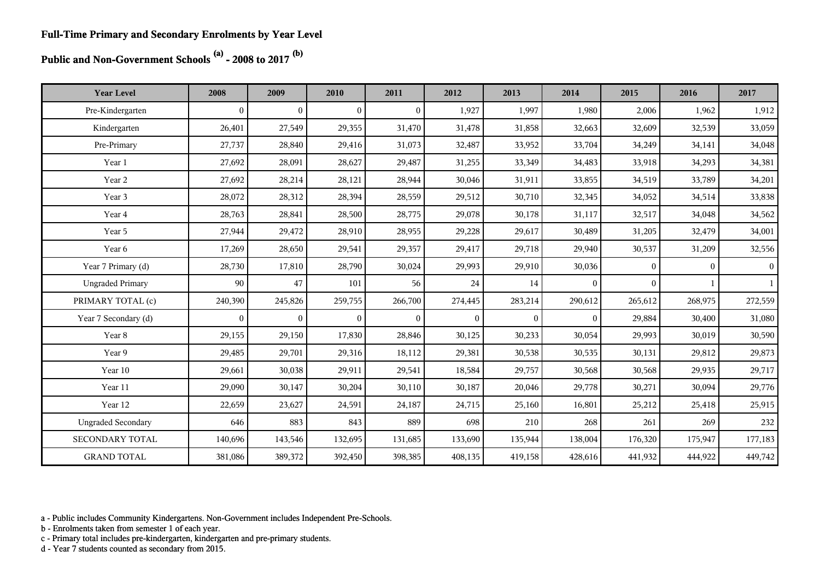**Public and Non-Government Schools (a) - 2008 to 2017 (b)**

| <b>Year Level</b>         | 2008           | 2009           | 2010           | 2011         | 2012         | 2013         | 2014             | 2015         | 2016         | 2017         |
|---------------------------|----------------|----------------|----------------|--------------|--------------|--------------|------------------|--------------|--------------|--------------|
| Pre-Kindergarten          | $\overline{0}$ | $\mathbf{0}$   | $\Omega$       | $\Omega$     | 1,927        | 1,997        | 1,980            | 2,006        | 1,962        | 1,912        |
| Kindergarten              | 26,401         | 27,549         | 29,355         | 31,470       | 31,478       | 31,858       | 32,663           | 32,609       | 32,539       | 33,059       |
| Pre-Primary               | 27,737         | 28,840         | 29,416         | 31,073       | 32,487       | 33,952       | 33,704           | 34,249       | 34,141       | 34,048       |
| Year 1                    | 27,692         | 28,091         | 28,627         | 29,487       | 31,255       | 33,349       | 34,483           | 33,918       | 34,293       | 34,381       |
| Year 2                    | 27,692         | 28,214         | 28,121         | 28,944       | 30,046       | 31,911       | 33,855           | 34,519       | 33,789       | 34,201       |
| Year 3                    | 28,072         | 28,312         | 28,394         | 28,559       | 29,512       | 30,710       | 32,345           | 34,052       | 34,514       | 33,838       |
| Year 4                    | 28,763         | 28,841         | 28,500         | 28,775       | 29,078       | 30,178       | 31,117           | 32,517       | 34,048       | 34,562       |
| Year 5                    | 27,944         | 29,472         | 28,910         | 28,955       | 29,228       | 29,617       | 30,489           | 31,205       | 32,479       | 34,001       |
| Year 6                    | 17,269         | 28,650         | 29,541         | 29,357       | 29,417       | 29,718       | 29,940           | 30,537       | 31,209       | 32,556       |
| Year 7 Primary (d)        | 28,730         | 17,810         | 28,790         | 30,024       | 29,993       | 29,910       | 30,036           | $\mathbf{0}$ | $\mathbf{0}$ | $\mathbf{0}$ |
| <b>Ungraded Primary</b>   | 90             | 47             | 101            | 56           | 24           | 14           | $\mathbf{0}$     | $\mathbf{0}$ |              | $\mathbf{1}$ |
| PRIMARY TOTAL (c)         | 240,390        | 245,826        | 259,755        | 266,700      | 274,445      | 283,214      | 290,612          | 265,612      | 268,975      | 272,559      |
| Year 7 Secondary (d)      | $\mathbf{0}$   | $\overline{0}$ | $\overline{0}$ | $\mathbf{0}$ | $\mathbf{0}$ | $\mathbf{0}$ | $\boldsymbol{0}$ | 29,884       | 30,400       | 31,080       |
| Year 8                    | 29,155         | 29,150         | 17,830         | 28,846       | 30,125       | 30,233       | 30,054           | 29,993       | 30,019       | 30,590       |
| Year 9                    | 29,485         | 29,701         | 29,316         | 18,112       | 29,381       | 30,538       | 30,535           | 30,131       | 29,812       | 29,873       |
| Year 10                   | 29,661         | 30,038         | 29,911         | 29,541       | 18,584       | 29,757       | 30,568           | 30,568       | 29,935       | 29,717       |
| Year 11                   | 29,090         | 30,147         | 30,204         | 30,110       | 30,187       | 20,046       | 29,778           | 30,271       | 30,094       | 29,776       |
| Year 12                   | 22,659         | 23,627         | 24,591         | 24,187       | 24,715       | 25,160       | 16,801           | 25,212       | 25,418       | 25,915       |
| <b>Ungraded Secondary</b> | 646            | 883            | 843            | 889          | 698          | 210          | 268              | 261          | 269          | 232          |
| SECONDARY TOTAL           | 140,696        | 143,546        | 132,695        | 131,685      | 133,690      | 135,944      | 138,004          | 176,320      | 175,947      | 177,183      |
| <b>GRAND TOTAL</b>        | 381,086        | 389,372        | 392,450        | 398,385      | 408,135      | 419,158      | 428,616          | 441,932      | 444,922      | 449,742      |

a - Public includes Community Kindergartens. Non-Government includes Independent Pre-Schools.

b - Enrolments taken from semester 1 of each year.

c - Primary total includes pre-kindergarten, kindergarten and pre-primary students.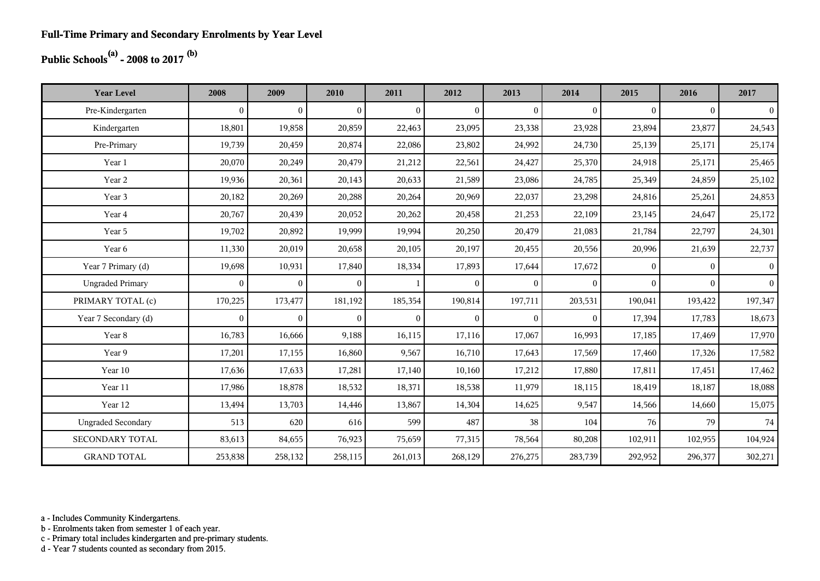## **Public Schools(a) - 2008 to 2017 (b)**

| <b>Year Level</b>         | 2008         | 2009           | 2010           | 2011           | 2012           | 2013           | 2014         | 2015         | 2016     | 2017           |
|---------------------------|--------------|----------------|----------------|----------------|----------------|----------------|--------------|--------------|----------|----------------|
| Pre-Kindergarten          | $\mathbf{0}$ | $\overline{0}$ | $\overline{0}$ | $\overline{0}$ | $\overline{0}$ | $\mathbf{0}$   | $\mathbf{0}$ | $\mathbf{0}$ | $\theta$ | $\overline{0}$ |
| Kindergarten              | 18,801       | 19,858         | 20,859         | 22,463         | 23,095         | 23,338         | 23,928       | 23,894       | 23,877   | 24,543         |
| Pre-Primary               | 19,739       | 20,459         | 20,874         | 22,086         | 23,802         | 24,992         | 24,730       | 25,139       | 25,171   | 25,174         |
| Year 1                    | 20,070       | 20,249         | 20,479         | 21,212         | 22,561         | 24,427         | 25,370       | 24,918       | 25,171   | 25,465         |
| Year 2                    | 19,936       | 20,361         | 20,143         | 20,633         | 21,589         | 23,086         | 24,785       | 25,349       | 24,859   | 25,102         |
| Year 3                    | 20,182       | 20,269         | 20,288         | 20,264         | 20,969         | 22,037         | 23,298       | 24,816       | 25,261   | 24,853         |
| Year 4                    | 20,767       | 20,439         | 20,052         | 20,262         | 20,458         | 21,253         | 22,109       | 23,145       | 24,647   | 25,172         |
| Year 5                    | 19,702       | 20,892         | 19,999         | 19,994         | 20,250         | 20,479         | 21,083       | 21,784       | 22,797   | 24,301         |
| Year 6                    | 11,330       | 20,019         | 20,658         | 20,105         | 20,197         | 20,455         | 20,556       | 20,996       | 21,639   | 22,737         |
| Year 7 Primary (d)        | 19,698       | 10,931         | 17,840         | 18,334         | 17,893         | 17,644         | 17,672       | $\Omega$     | $\Omega$ | $\overline{0}$ |
| <b>Ungraded Primary</b>   | $\mathbf{0}$ | $\overline{0}$ | $\overline{0}$ |                | $\overline{0}$ | $\overline{0}$ | $\mathbf{0}$ | $\Omega$     | $\theta$ | $\vert$ 0      |
| PRIMARY TOTAL (c)         | 170,225      | 173,477        | 181,192        | 185,354        | 190,814        | 197,711        | 203,531      | 190,041      | 193,422  | 197,347        |
| Year 7 Secondary (d)      | $\mathbf{0}$ | $\overline{0}$ | $\overline{0}$ | $\theta$       | $\mathbf{0}$   | $\theta$       | $\theta$     | 17,394       | 17,783   | 18,673         |
| Year 8                    | 16,783       | 16,666         | 9,188          | 16,115         | 17,116         | 17,067         | 16,993       | 17,185       | 17,469   | 17,970         |
| Year 9                    | 17,201       | 17,155         | 16,860         | 9,567          | 16,710         | 17,643         | 17,569       | 17,460       | 17,326   | 17,582         |
| Year 10                   | 17,636       | 17,633         | 17,281         | 17,140         | 10,160         | 17,212         | 17,880       | 17,811       | 17,451   | 17,462         |
| Year 11                   | 17,986       | 18,878         | 18,532         | 18,371         | 18,538         | 11,979         | 18,115       | 18,419       | 18,187   | 18,088         |
| Year 12                   | 13,494       | 13,703         | 14,446         | 13,867         | 14,304         | 14,625         | 9,547        | 14,566       | 14,660   | 15,075         |
| <b>Ungraded Secondary</b> | 513          | 620            | 616            | 599            | 487            | 38             | 104          | 76           | 79       | 74             |
| SECONDARY TOTAL           | 83,613       | 84,655         | 76,923         | 75,659         | 77,315         | 78,564         | 80,208       | 102,911      | 102,955  | 104,924        |
| <b>GRAND TOTAL</b>        | 253,838      | 258,132        | 258,115        | 261,013        | 268,129        | 276,275        | 283,739      | 292,952      | 296,377  | 302,271        |

a - Includes Community Kindergartens.

b - Enrolments taken from semester 1 of each year.

c - Primary total includes kindergarten and pre-primary students.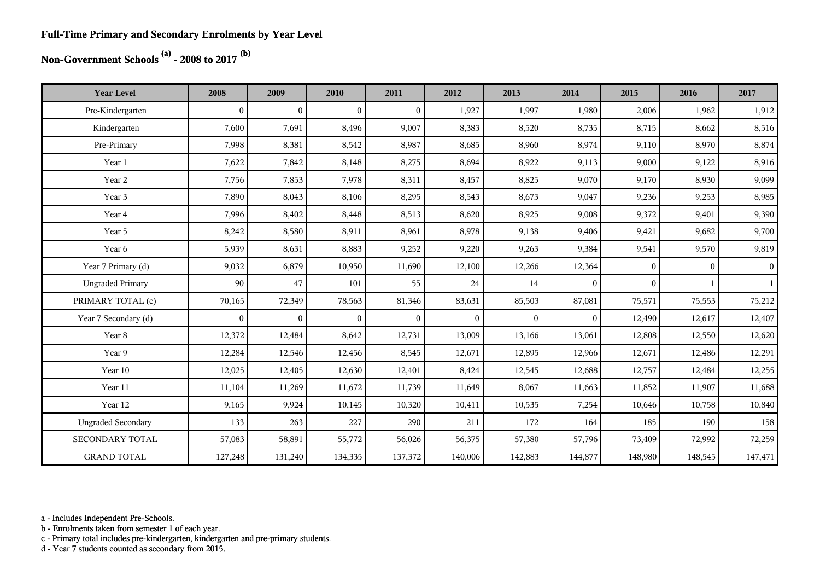#### **Full-Time Primary and Secondary Enrolments by Year Level**

## **Non-Government Schools (a) - 2008 to 2017 (b)**

| <b>Year Level</b>         | 2008           | 2009           | 2010           | 2011           | 2012           | 2013         | 2014         | 2015         | 2016         | 2017         |
|---------------------------|----------------|----------------|----------------|----------------|----------------|--------------|--------------|--------------|--------------|--------------|
| Pre-Kindergarten          | $\overline{0}$ | $\overline{0}$ | $\overline{0}$ | $\mathbf{0}$   | 1,927          | 1,997        | 1,980        | 2,006        | 1,962        | 1,912        |
| Kindergarten              | 7,600          | 7,691          | 8,496          | 9,007          | 8,383          | 8,520        | 8,735        | 8,715        | 8,662        | 8,516        |
| Pre-Primary               | 7,998          | 8,381          | 8,542          | 8,987          | 8,685          | 8,960        | 8,974        | 9,110        | 8,970        | 8,874        |
| Year 1                    | 7,622          | 7,842          | 8,148          | 8,275          | 8,694          | 8,922        | 9,113        | 9,000        | 9,122        | 8,916        |
| Year 2                    | 7,756          | 7,853          | 7,978          | 8,311          | 8,457          | 8,825        | 9,070        | 9,170        | 8,930        | 9,099        |
| Year 3                    | 7,890          | 8,043          | 8,106          | 8,295          | 8,543          | 8,673        | 9,047        | 9,236        | 9,253        | 8,985        |
| Year 4                    | 7,996          | 8,402          | 8,448          | 8,513          | 8,620          | 8,925        | 9,008        | 9,372        | 9,401        | 9,390        |
| Year 5                    | 8,242          | 8,580          | 8,911          | 8,961          | 8,978          | 9,138        | 9,406        | 9,421        | 9,682        | 9,700        |
| Year 6                    | 5,939          | 8,631          | 8,883          | 9,252          | 9,220          | 9,263        | 9,384        | 9,541        | 9,570        | 9,819        |
| Year 7 Primary (d)        | 9,032          | 6,879          | 10,950         | 11,690         | 12,100         | 12,266       | 12,364       | $\Omega$     | $\mathbf{0}$ | 0            |
| <b>Ungraded Primary</b>   | 90             | 47             | 101            | 55             | 24             | 14           | $\mathbf{0}$ | $\mathbf{0}$ |              | $\mathbf{1}$ |
| PRIMARY TOTAL (c)         | 70,165         | 72,349         | 78,563         | 81,346         | 83,631         | 85,503       | 87,081       | 75,571       | 75,553       | 75,212       |
| Year 7 Secondary (d)      | $\mathbf{0}$   | $\overline{0}$ | $\mathbf{0}$   | $\overline{0}$ | $\overline{0}$ | $\mathbf{0}$ | $\mathbf{0}$ | 12,490       | 12,617       | 12,407       |
| Year 8                    | 12,372         | 12,484         | 8,642          | 12,731         | 13,009         | 13,166       | 13,061       | 12,808       | 12,550       | 12,620       |
| Year 9                    | 12,284         | 12,546         | 12,456         | 8,545          | 12,671         | 12,895       | 12,966       | 12,671       | 12,486       | 12,291       |
| Year 10                   | 12,025         | 12,405         | 12,630         | 12,401         | 8,424          | 12,545       | 12,688       | 12,757       | 12,484       | 12,255       |
| Year 11                   | 11,104         | 11,269         | 11,672         | 11,739         | 11,649         | 8,067        | 11,663       | 11,852       | 11,907       | 11,688       |
| Year 12                   | 9,165          | 9,924          | 10,145         | 10,320         | 10,411         | 10,535       | 7,254        | 10,646       | 10,758       | 10,840       |
| <b>Ungraded Secondary</b> | 133            | 263            | 227            | 290            | 211            | 172          | 164          | 185          | 190          | 158          |
| <b>SECONDARY TOTAL</b>    | 57,083         | 58,891         | 55,772         | 56,026         | 56,375         | 57,380       | 57,796       | 73,409       | 72,992       | 72,259       |
| <b>GRAND TOTAL</b>        | 127,248        | 131,240        | 134,335        | 137,372        | 140,006        | 142,883      | 144,877      | 148,980      | 148,545      | 147,471      |

a - Includes Independent Pre-Schools.

b - Enrolments taken from semester 1 of each year.

c - Primary total includes pre-kindergarten, kindergarten and pre-primary students.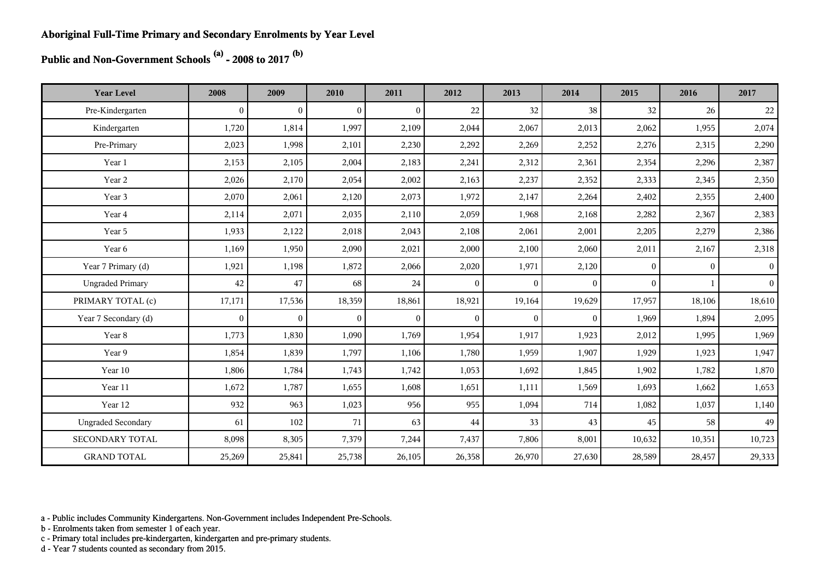**Public and Non-Government Schools (a) - 2008 to 2017 (b)**

| <b>Year Level</b>         | 2008           | 2009           | 2010           | 2011           | 2012           | 2013         | 2014         | 2015         | 2016         | 2017            |
|---------------------------|----------------|----------------|----------------|----------------|----------------|--------------|--------------|--------------|--------------|-----------------|
| Pre-Kindergarten          | $\overline{0}$ | $\overline{0}$ | $\overline{0}$ | $\overline{0}$ | 22             | 32           | 38           | 32           | 26           | 22              |
| Kindergarten              | 1,720          | 1,814          | 1,997          | 2,109          | 2,044          | 2,067        | 2,013        | 2,062        | 1,955        | 2,074           |
| Pre-Primary               | 2,023          | 1,998          | 2,101          | 2,230          | 2,292          | 2,269        | 2,252        | 2,276        | 2,315        | 2,290           |
| Year 1                    | 2,153          | 2,105          | 2,004          | 2,183          | 2,241          | 2,312        | 2,361        | 2,354        | 2,296        | 2,387           |
| Year 2                    | 2,026          | 2,170          | 2,054          | 2,002          | 2,163          | 2,237        | 2,352        | 2,333        | 2,345        | 2,350           |
| Year 3                    | 2,070          | 2,061          | 2,120          | 2,073          | 1,972          | 2,147        | 2,264        | 2,402        | 2,355        | 2,400           |
| Year 4                    | 2,114          | 2,071          | 2,035          | 2,110          | 2,059          | 1,968        | 2,168        | 2,282        | 2,367        | 2,383           |
| Year 5                    | 1,933          | 2,122          | 2,018          | 2,043          | 2,108          | 2,061        | 2,001        | 2,205        | 2,279        | 2,386           |
| Year 6                    | 1,169          | 1,950          | 2,090          | 2,021          | 2,000          | 2,100        | 2,060        | 2,011        | 2,167        | 2,318           |
| Year 7 Primary (d)        | 1,921          | 1,198          | 1,872          | 2,066          | 2,020          | 1,971        | 2,120        | $\mathbf{0}$ | $\mathbf{0}$ | $\vert 0 \vert$ |
| <b>Ungraded Primary</b>   | 42             | 47             | 68             | 24             | $\overline{0}$ | $\Omega$     | $\theta$     | $\Omega$     |              | 0 <sup>1</sup>  |
| PRIMARY TOTAL (c)         | 17,171         | 17,536         | 18,359         | 18,861         | 18,921         | 19,164       | 19,629       | 17,957       | 18,106       | 18,610          |
| Year 7 Secondary (d)      | $\overline{0}$ | $\overline{0}$ | $\mathbf{0}$   | $\mathbf{0}$   | $\mathbf{0}$   | $\mathbf{0}$ | $\mathbf{0}$ | 1,969        | 1,894        | 2,095           |
| Year 8                    | 1,773          | 1,830          | 1,090          | 1,769          | 1,954          | 1,917        | 1,923        | 2,012        | 1,995        | 1,969           |
| Year 9                    | 1,854          | 1,839          | 1,797          | 1,106          | 1,780          | 1,959        | 1,907        | 1,929        | 1,923        | 1,947           |
| Year 10                   | 1,806          | 1,784          | 1,743          | 1,742          | 1,053          | 1,692        | 1,845        | 1,902        | 1,782        | 1,870           |
| Year 11                   | 1,672          | 1,787          | 1,655          | 1,608          | 1,651          | 1,111        | 1,569        | 1,693        | 1,662        | 1,653           |
| Year 12                   | 932            | 963            | 1,023          | 956            | 955            | 1,094        | 714          | 1,082        | 1,037        | 1,140           |
| <b>Ungraded Secondary</b> | 61             | 102            | 71             | 63             | 44             | 33           | 43           | 45           | 58           | 49              |
| SECONDARY TOTAL           | 8,098          | 8,305          | 7,379          | 7,244          | 7,437          | 7,806        | 8,001        | 10,632       | 10,351       | 10,723          |
| <b>GRAND TOTAL</b>        | 25,269         | 25,841         | 25,738         | 26,105         | 26,358         | 26,970       | 27,630       | 28,589       | 28,457       | 29,333          |

a - Public includes Community Kindergartens. Non-Government includes Independent Pre-Schools.

b - Enrolments taken from semester 1 of each year.

c - Primary total includes pre-kindergarten, kindergarten and pre-primary students.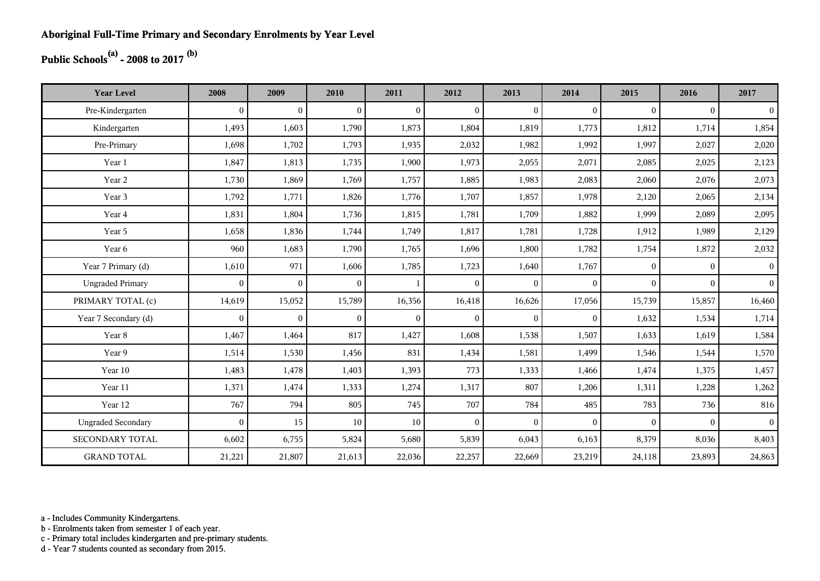## **Public Schools(a) - 2008 to 2017 (b)**

| <b>Year Level</b>         | 2008         | 2009           | 2010           | 2011         | 2012           | 2013         | 2014         | 2015     | 2016     | 2017           |
|---------------------------|--------------|----------------|----------------|--------------|----------------|--------------|--------------|----------|----------|----------------|
| Pre-Kindergarten          | $\theta$     | $\overline{0}$ | $\overline{0}$ | $\Omega$     | $\mathbf{0}$   | $\theta$     | $\mathbf{0}$ | $\Omega$ | $\theta$ | $\overline{0}$ |
| Kindergarten              | 1,493        | 1,603          | 1,790          | 1,873        | 1,804          | 1,819        | 1,773        | 1,812    | 1,714    | 1,854          |
| Pre-Primary               | 1,698        | 1,702          | 1,793          | 1,935        | 2,032          | 1,982        | 1,992        | 1,997    | 2,027    | 2,020          |
| Year 1                    | 1,847        | 1,813          | 1,735          | 1,900        | 1,973          | 2,055        | 2,071        | 2,085    | 2,025    | 2,123          |
| Year 2                    | 1,730        | 1,869          | 1,769          | 1,757        | 1,885          | 1,983        | 2,083        | 2,060    | 2,076    | 2,073          |
| Year 3                    | 1,792        | 1,771          | 1,826          | 1,776        | 1,707          | 1,857        | 1,978        | 2,120    | 2,065    | 2,134          |
| Year 4                    | 1,831        | 1,804          | 1,736          | 1,815        | 1,781          | 1,709        | 1,882        | 1,999    | 2,089    | 2,095          |
| Year 5                    | 1,658        | 1,836          | 1,744          | 1,749        | 1,817          | 1,781        | 1,728        | 1,912    | 1,989    | 2,129          |
| Year 6                    | 960          | 1,683          | 1,790          | 1,765        | 1,696          | 1,800        | 1,782        | 1,754    | 1,872    | 2,032          |
| Year 7 Primary (d)        | 1,610        | 971            | 1,606          | 1,785        | 1,723          | 1,640        | 1,767        | $\Omega$ | $\Omega$ | 0 <sup>1</sup> |
| <b>Ungraded Primary</b>   | $\mathbf{0}$ | $\overline{0}$ | $\mathbf{0}$   | $\mathbf{1}$ | $\overline{0}$ | $\mathbf{0}$ | $\mathbf{0}$ | $\Omega$ | $\Omega$ | 0 <sup>1</sup> |
| PRIMARY TOTAL (c)         | 14,619       | 15,052         | 15,789         | 16,356       | 16,418         | 16,626       | 17,056       | 15,739   | 15,857   | 16,460         |
| Year 7 Secondary (d)      | $\mathbf{0}$ | $\mathbf{0}$   | $\overline{0}$ | $\mathbf{0}$ | $\overline{0}$ | $\mathbf{0}$ | $\mathbf{0}$ | 1,632    | 1,534    | 1,714          |
| Year 8                    | 1,467        | 1,464          | 817            | 1,427        | 1,608          | 1,538        | 1,507        | 1,633    | 1,619    | 1,584          |
| Year 9                    | 1,514        | 1,530          | 1,456          | 831          | 1,434          | 1,581        | 1,499        | 1,546    | 1,544    | 1,570          |
| Year 10                   | 1,483        | 1,478          | 1,403          | 1,393        | 773            | 1,333        | 1,466        | 1,474    | 1,375    | 1,457          |
| Year 11                   | 1,371        | 1,474          | 1,333          | 1,274        | 1,317          | 807          | 1,206        | 1,311    | 1,228    | 1,262          |
| Year 12                   | 767          | 794            | 805            | 745          | 707            | 784          | 485          | 783      | 736      | 816            |
| <b>Ungraded Secondary</b> | $\theta$     | 15             | $10\,$         | 10           | $\mathbf{0}$   | $\theta$     | $\mathbf{0}$ | $\Omega$ | $\theta$ | $\vert$        |
| <b>SECONDARY TOTAL</b>    | 6,602        | 6,755          | 5,824          | 5,680        | 5,839          | 6,043        | 6,163        | 8,379    | 8,036    | 8,403          |
| <b>GRAND TOTAL</b>        | 21,221       | 21,807         | 21,613         | 22,036       | 22,257         | 22,669       | 23,219       | 24,118   | 23,893   | 24,863         |

a - Includes Community Kindergartens.

b - Enrolments taken from semester 1 of each year.

c - Primary total includes kindergarten and pre-primary students.